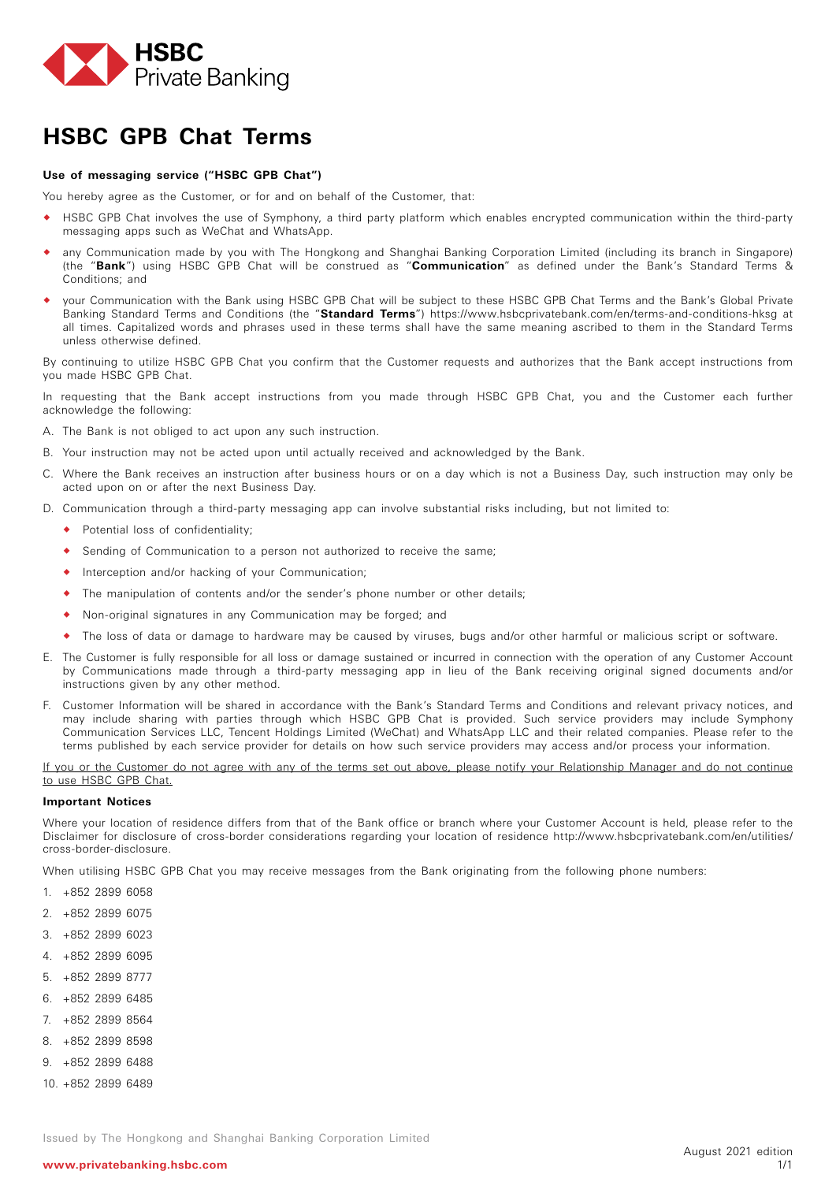

# **HSBC GPB Chat Terms**

### **Use of messaging service ("HSBC GPB Chat")**

You hereby agree as the Customer, or for and on behalf of the Customer, that:

- HSBC GPB Chat involves the use of Symphony, a third party platform which enables encrypted communication within the third-party messaging apps such as WeChat and WhatsApp.
- any Communication made by you with The Hongkong and Shanghai Banking Corporation Limited (including its branch in Singapore) (the "**Bank**") using HSBC GPB Chat will be construed as "**Communication**" as defined under the Bank's Standard Terms & Conditions; and
- your Communication with the Bank using HSBC GPB Chat will be subject to these HSBC GPB Chat Terms and the Bank's Global Private Banking Standard Terms and Conditions (the "**Standard Terms**") https://www.hsbcprivatebank.com/en/terms-and-conditions-hksg at all times. Capitalized words and phrases used in these terms shall have the same meaning ascribed to them in the Standard Terms unless otherwise defined.

By continuing to utilize HSBC GPB Chat you confirm that the Customer requests and authorizes that the Bank accept instructions from you made HSBC GPB Chat.

In requesting that the Bank accept instructions from you made through HSBC GPB Chat, you and the Customer each further acknowledge the following:

- A. The Bank is not obliged to act upon any such instruction.
- B. Your instruction may not be acted upon until actually received and acknowledged by the Bank.
- C. Where the Bank receives an instruction after business hours or on a day which is not a Business Day, such instruction may only be acted upon on or after the next Business Day.
- D. Communication through a third-party messaging app can involve substantial risks including, but not limited to:
	- Potential loss of confidentiality;
	- Sending of Communication to a person not authorized to receive the same;
	- Interception and/or hacking of your Communication;
	- The manipulation of contents and/or the sender's phone number or other details;
	- Non-original signatures in any Communication may be forged; and
	- The loss of data or damage to hardware may be caused by viruses, bugs and/or other harmful or malicious script or software.
- E. The Customer is fully responsible for all loss or damage sustained or incurred in connection with the operation of any Customer Account by Communications made through a third-party messaging app in lieu of the Bank receiving original signed documents and/or instructions given by any other method.
- F. Customer Information will be shared in accordance with the Bank's Standard Terms and Conditions and relevant privacy notices, and may include sharing with parties through which HSBC GPB Chat is provided. Such service providers may include Symphony Communication Services LLC, Tencent Holdings Limited (WeChat) and WhatsApp LLC and their related companies. Please refer to the terms published by each service provider for details on how such service providers may access and/or process your information.

If you or the Customer do not agree with any of the terms set out above, please notify your Relationship Manager and do not continue to use HSBC GPB Chat.

#### **Important Notices**

Where your location of residence differs from that of the Bank office or branch where your Customer Account is held, please refer to the Disclaimer for disclosure of cross-border considerations regarding your location of residence http://www.hsbcprivatebank.com/en/utilities/ cross-border-disclosure.

When utilising HSBC GPB Chat you may receive messages from the Bank originating from the following phone numbers:

- 1. +852 2899 6058
- 2. +852 2899 6075
- 3. +852 2899 6023
- 4. +852 2899 6095
- 5. +852 2899 8777
- 6. +852 2899 6485
- 7. +852 2899 8564
- 8. +852 2899 8598
- 9. +852 2899 6488
- 10. +852 2899 6489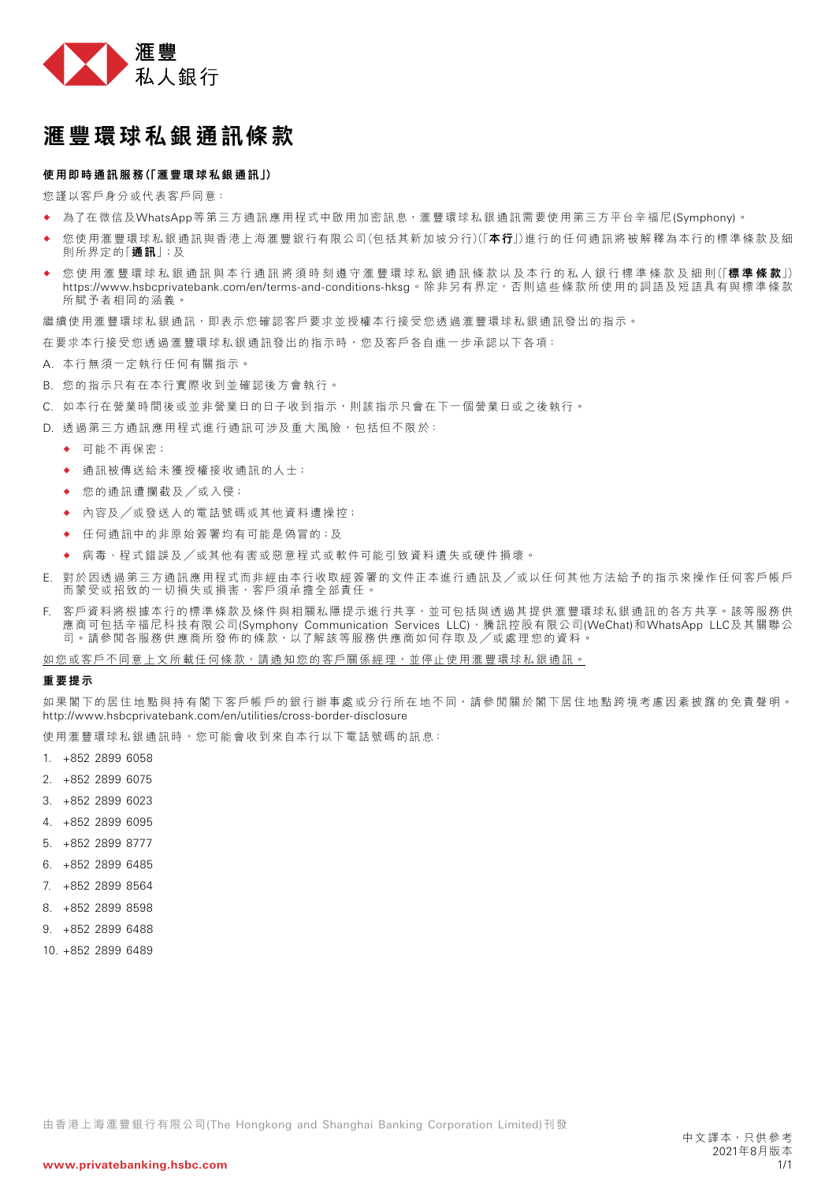

## 滙豐環球私銀通訊條款

## 使用即時通訊服務(「滙豐環球私銀通訊」)

您謹以客戶身分或代表客戶同意:

- ◆ 為了在微信及WhatsApp等第三方通訊應用程式中啟用加密訊息,滙豐環球私銀通訊需要使用第三方平台辛福尼(Symphony)。
- ◆ 您使用滙豐環球私銀通訊與香港上海滙豐銀行有限公司(包括其新加坡分行)(「本行」)進行的任何通訊將被解釋為本行的標準條款及細 則所界定的「通訊」;及
- 您使用滙豐環球私銀通訊與本行通訊將須時刻遵守滙豐環球私銀通訊條款以及本行的私人銀行標準條款及細則(「**標準條款**」) https://www.hsbcprivatebank.com/en/terms-and-conditions-hksg。除非另有界定,否則這些條款所使用的詞語及短語具有與標準條款 所賦予者相同的涵義。

繼續使用滙豐環球私銀通訊,即表示您確認客戶要求並授權本行接受您透過滙豐環球私銀通訊發出的指示。

在要求本行接受您透過滙豐環球私銀通訊發出的指示時,您及客戶各自進一步承認以下各項:

- A. 本行無須一定執行任何有關指示。
- B. 您的指示只有在本行實際收到並確認後方會執行。
- C. 如本行在營業時間後或並非營業日的日子收到指示,則該指示只會在下一個營業日或之後執行。
- D. 透過第三方通訊應用程式進行通訊可涉及重大風險,包括但不限於:
	- 可能不再保密;
	- 通訊被傳送給未獲授權接收通訊的人士;
	- ◆ 您的通訊遭攔截及/或入侵;
	- ◆ 內容及/或發送人的電話號碼或其他資料遭操控;
	- 任何通訊中的非原始簽署均有可能是偽冒的;及
	- 病毒、程式錯誤及╱或其他有害或惡意程式或軟件可能引致資料遺失或硬件損壞。
- E. 對於因透過第三方通訊應用程式而非經由本行收取經簽署的文件正本進行通訊及╱或以任何其他方法給予的指示來操作任何客戶帳戶 而蒙受或招致的一切損失或損害,客戶須承擔全部責任。
- F. 客戶資料將根據本行的標準條款及條件與相關私隱提示進行共享,並可包括與透過其提供滙豐環球私銀通訊的各方共享。該等服務供 應商可包括辛福尼科技有限公司(Symphony Communication Services LLC)、騰訊控股有限公司(WeChat)和WhatsApp LLC及其關聯公 司。請參閲各服務供應商所發佈的條款,以了解該等服務供應商如何存取及/或處理您的資料

如您或客戶不同意上文所載任何條款,請通知您的客戶關係經理,並停止使用滙豐環球私銀通訊。

### 重要提示

如果閣下的居住地點與持有閣下客戶帳戶的銀行辦事處或分行所在地不同,請參閱關於閣下居住地點跨境考慮因素披露的免責聲明。 http://www.hsbcprivatebank.com/en/utilities/cross-border-disclosure

使用滙豐環球私銀通訊時,您可能會收到來自本行以下電話號碼的訊息:

- 1. +852 2899 6058
- 2. +852 2899 6075
- 3. +852 2899 6023
- 4. +852 2899 6095
- 5. +852 2899 8777
- 6. +852 2899 6485
- 7. +852 2899 8564
- 8. +852 2899 8598
- 9. +852 2899 6488
- 10. +852 2899 6489